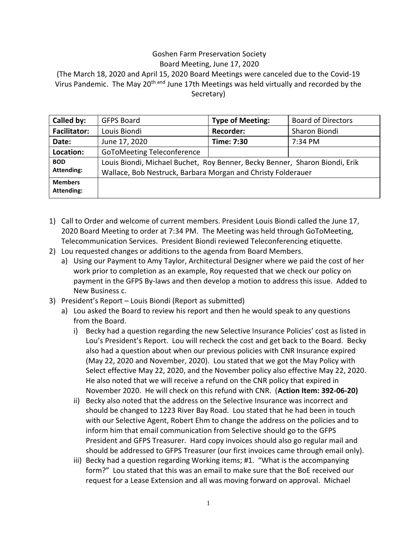## Goshen Farm Preservation Society

Board Meeting, June 17, 2020

(The March 18, 2020 and April 15, 2020 Board Meetings were canceled due to the Covid-19 Virus Pandemic. The May 20<sup>th and</sup> June 17th Meetings was held virtually and recorded by the Secretary)

| Called by:                          | <b>GFPS Board</b>                                                                                                                           | <b>Type of Meeting:</b> | <b>Board of Directors</b> |
|-------------------------------------|---------------------------------------------------------------------------------------------------------------------------------------------|-------------------------|---------------------------|
| <b>Facilitator:</b>                 | Louis Biondi                                                                                                                                | <b>Recorder:</b>        | Sharon Biondi             |
| Date:                               | June 17, 2020                                                                                                                               | Time: 7:30              | 7:34 PM                   |
| Location:                           | <b>GoToMeeting Teleconference</b>                                                                                                           |                         |                           |
| <b>BOD</b><br><b>Attending:</b>     | Louis Biondi, Michael Buchet, Roy Benner, Becky Benner, Sharon Biondi, Erik<br>Wallace, Bob Nestruck, Barbara Morgan and Christy Folderauer |                         |                           |
| <b>Members</b><br><b>Attending:</b> |                                                                                                                                             |                         |                           |

- 1) Call to Order and welcome of current members. President Louis Biondi called the June 17, 2020 Board Meeting to order at 7:34 PM. The Meeting was held through GoToMeeting, Telecommunication Services. President Biondi reviewed Teleconferencing etiquette.
- 2) Lou requested changes or additions to the agenda from Board Members.
	- a) Using our Payment to Amy Taylor, Architectural Designer where we paid the cost of her work prior to completion as an example, Roy requested that we check our policy on payment in the GFPS By-laws and then develop a motion to address this issue. Added to New Business c.
- 3) President's Report Louis Biondi (Report as submitted)
	- a) Lou asked the Board to review his report and then he would speak to any questions from the Board.
		- i) Becky had a question regarding the new Selective Insurance Policies' cost as listed in Lou's President's Report. Lou will recheck the cost and get back to the Board. Becky also had a question about when our previous policies with CNR Insurance expired (May 22, 2020 and November, 2020). Lou stated that we got the May Policy with Select effective May 22, 2020, and the November policy also effective May 22, 2020. He also noted that we will receive a refund on the CNR policy that expired in November 2020. He will check on this refund with CNR. (**Action Item: 392-06-20)**
		- ii) Becky also noted that the address on the Selective Insurance was incorrect and should be changed to 1223 River Bay Road. Lou stated that he had been in touch with our Selective Agent, Robert Ehm to change the address on the policies and to inform him that email communication from Selective should go to the GFPS President and GFPS Treasurer. Hard copy invoices should also go regular mail and should be addressed to GFPS Treasurer (our first invoices came through email only).
		- iii) Becky had a question regarding Working items; #1. "What is the accompanying form?" Lou stated that this was an email to make sure that the BoE received our request for a Lease Extension and all was moving forward on approval. Michael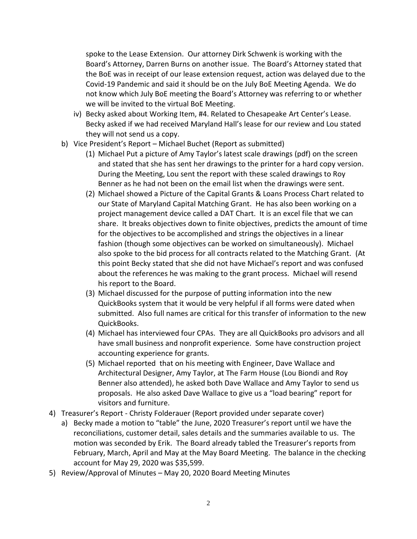spoke to the Lease Extension. Our attorney Dirk Schwenk is working with the Board's Attorney, Darren Burns on another issue. The Board's Attorney stated that the BoE was in receipt of our lease extension request, action was delayed due to the Covid-19 Pandemic and said it should be on the July BoE Meeting Agenda. We do not know which July BoE meeting the Board's Attorney was referring to or whether we will be invited to the virtual BoE Meeting.

- iv) Becky asked about Working Item, #4. Related to Chesapeake Art Center's Lease. Becky asked if we had received Maryland Hall's lease for our review and Lou stated they will not send us a copy.
- b) Vice President's Report Michael Buchet (Report as submitted)
	- (1) Michael Put a picture of Amy Taylor's latest scale drawings (pdf) on the screen and stated that she has sent her drawings to the printer for a hard copy version. During the Meeting, Lou sent the report with these scaled drawings to Roy Benner as he had not been on the email list when the drawings were sent.
	- (2) Michael showed a Picture of the Capital Grants & Loans Process Chart related to our State of Maryland Capital Matching Grant. He has also been working on a project management device called a DAT Chart. It is an excel file that we can share. It breaks objectives down to finite objectives, predicts the amount of time for the objectives to be accomplished and strings the objectives in a linear fashion (though some objectives can be worked on simultaneously). Michael also spoke to the bid process for all contracts related to the Matching Grant. (At this point Becky stated that she did not have Michael's report and was confused about the references he was making to the grant process. Michael will resend his report to the Board.
	- (3) Michael discussed for the purpose of putting information into the new QuickBooks system that it would be very helpful if all forms were dated when submitted. Also full names are critical for this transfer of information to the new QuickBooks.
	- (4) Michael has interviewed four CPAs. They are all QuickBooks pro advisors and all have small business and nonprofit experience. Some have construction project accounting experience for grants.
	- (5) Michael reported that on his meeting with Engineer, Dave Wallace and Architectural Designer, Amy Taylor, at The Farm House (Lou Biondi and Roy Benner also attended), he asked both Dave Wallace and Amy Taylor to send us proposals. He also asked Dave Wallace to give us a "load bearing" report for visitors and furniture.
- 4) Treasurer's Report Christy Folderauer (Report provided under separate cover)
	- a) Becky made a motion to "table" the June, 2020 Treasurer's report until we have the reconciliations, customer detail, sales details and the summaries available to us. The motion was seconded by Erik. The Board already tabled the Treasurer's reports from February, March, April and May at the May Board Meeting. The balance in the checking account for May 29, 2020 was \$35,599.
- 5) Review/Approval of Minutes May 20, 2020 Board Meeting Minutes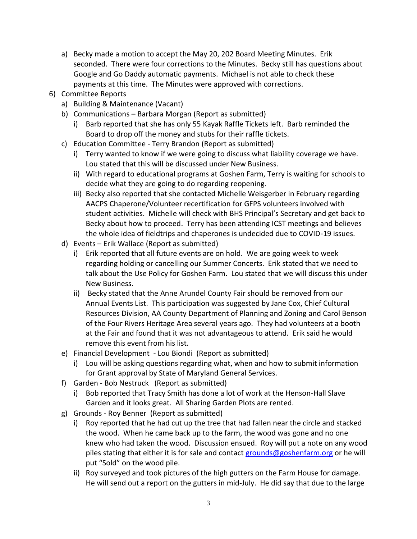- a) Becky made a motion to accept the May 20, 202 Board Meeting Minutes. Erik seconded. There were four corrections to the Minutes. Becky still has questions about Google and Go Daddy automatic payments. Michael is not able to check these payments at this time. The Minutes were approved with corrections.
- 6) Committee Reports
	- a) Building & Maintenance (Vacant)
	- b) Communications Barbara Morgan (Report as submitted)
		- i) Barb reported that she has only 55 Kayak Raffle Tickets left. Barb reminded the Board to drop off the money and stubs for their raffle tickets.
	- c) Education Committee Terry Brandon (Report as submitted)
		- i) Terry wanted to know if we were going to discuss what liability coverage we have. Lou stated that this will be discussed under New Business.
		- ii) With regard to educational programs at Goshen Farm, Terry is waiting for schools to decide what they are going to do regarding reopening.
		- iii) Becky also reported that she contacted Michelle Weisgerber in February regarding AACPS Chaperone/Volunteer recertification for GFPS volunteers involved with student activities. Michelle will check with BHS Principal's Secretary and get back to Becky about how to proceed. Terry has been attending ICST meetings and believes the whole idea of fieldtrips and chaperones is undecided due to COVID-19 issues.
	- d) Events Erik Wallace (Report as submitted)
		- i) Erik reported that all future events are on hold. We are going week to week regarding holding or cancelling our Summer Concerts. Erik stated that we need to talk about the Use Policy for Goshen Farm. Lou stated that we will discuss this under New Business.
		- ii) Becky stated that the Anne Arundel County Fair should be removed from our Annual Events List. This participation was suggested by Jane Cox, Chief Cultural Resources Division, AA County Department of Planning and Zoning and Carol Benson of the Four Rivers Heritage Area several years ago. They had volunteers at a booth at the Fair and found that it was not advantageous to attend. Erik said he would remove this event from his list.
	- e) Financial Development Lou Biondi (Report as submitted)
		- i) Lou will be asking questions regarding what, when and how to submit information for Grant approval by State of Maryland General Services.
	- f) Garden Bob Nestruck (Report as submitted)
		- i) Bob reported that Tracy Smith has done a lot of work at the Henson-Hall Slave Garden and it looks great. All Sharing Garden Plots are rented.
	- g) Grounds Roy Benner (Report as submitted)
		- i) Roy reported that he had cut up the tree that had fallen near the circle and stacked the wood. When he came back up to the farm, the wood was gone and no one knew who had taken the wood. Discussion ensued. Roy will put a note on any wood piles stating that either it is for sale and contact [grounds@goshenfarm.org](mailto:grounds@goshenfarm.org) or he will put "Sold" on the wood pile.
		- ii) Roy surveyed and took pictures of the high gutters on the Farm House for damage. He will send out a report on the gutters in mid-July. He did say that due to the large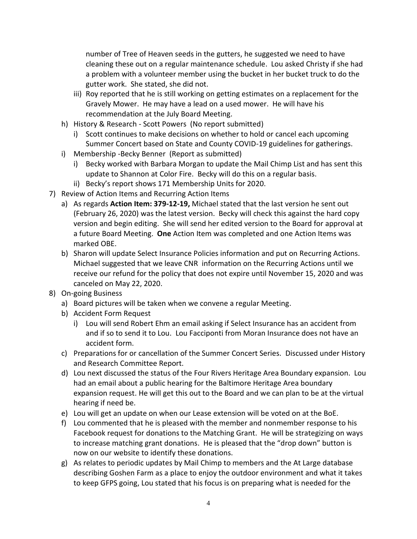number of Tree of Heaven seeds in the gutters, he suggested we need to have cleaning these out on a regular maintenance schedule. Lou asked Christy if she had a problem with a volunteer member using the bucket in her bucket truck to do the gutter work. She stated, she did not.

- iii) Roy reported that he is still working on getting estimates on a replacement for the Gravely Mower. He may have a lead on a used mower. He will have his recommendation at the July Board Meeting.
- h) History & Research Scott Powers (No report submitted)
	- i) Scott continues to make decisions on whether to hold or cancel each upcoming Summer Concert based on State and County COVID-19 guidelines for gatherings.
- i) Membership -Becky Benner (Report as submitted)
	- i) Becky worked with Barbara Morgan to update the Mail Chimp List and has sent this update to Shannon at Color Fire. Becky will do this on a regular basis.
	- ii) Becky's report shows 171 Membership Units for 2020.
- 7) Review of Action Items and Recurring Action Items
	- a) As regards **Action Item: 379-12-19,** Michael stated that the last version he sent out (February 26, 2020) was the latest version. Becky will check this against the hard copy version and begin editing. She will send her edited version to the Board for approval at a future Board Meeting. **One** Action Item was completed and one Action Items was marked OBE.
	- b) Sharon will update Select Insurance Policies information and put on Recurring Actions. Michael suggested that we leave CNR information on the Recurring Actions until we receive our refund for the policy that does not expire until November 15, 2020 and was canceled on May 22, 2020.
- 8) On-going Business
	- a) Board pictures will be taken when we convene a regular Meeting.
	- b) Accident Form Request
		- i) Lou will send Robert Ehm an email asking if Select Insurance has an accident from and if so to send it to Lou. Lou Facciponti from Moran Insurance does not have an accident form.
	- c) Preparations for or cancellation of the Summer Concert Series. Discussed under History and Research Committee Report.
	- d) Lou next discussed the status of the Four Rivers Heritage Area Boundary expansion. Lou had an email about a public hearing for the Baltimore Heritage Area boundary expansion request. He will get this out to the Board and we can plan to be at the virtual hearing if need be.
	- e) Lou will get an update on when our Lease extension will be voted on at the BoE.
	- f) Lou commented that he is pleased with the member and nonmember response to his Facebook request for donations to the Matching Grant. He will be strategizing on ways to increase matching grant donations. He is pleased that the "drop down" button is now on our website to identify these donations.
	- g) As relates to periodic updates by Mail Chimp to members and the At Large database describing Goshen Farm as a place to enjoy the outdoor environment and what it takes to keep GFPS going, Lou stated that his focus is on preparing what is needed for the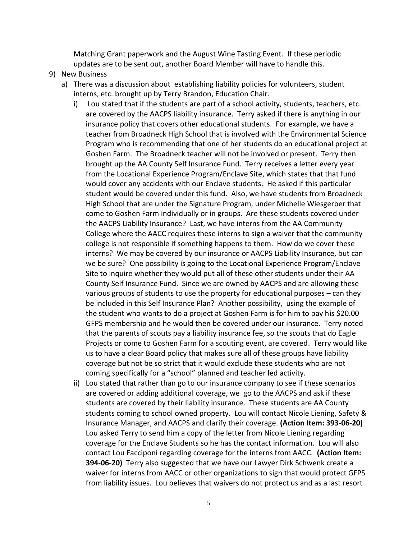Matching Grant paperwork and the August Wine Tasting Event. If these periodic updates are to be sent out, another Board Member will have to handle this.

## 9) New Business

- a) There was a discussion about establishing liability policies for volunteers, student interns, etc. brought up by Terry Brandon, Education Chair.
	- i) Lou stated that if the students are part of a school activity, students, teachers, etc. are covered by the AACPS liability insurance. Terry asked if there is anything in our insurance policy that covers other educational students. For example, we have a teacher from Broadneck High School that is involved with the Environmental Science Program who is recommending that one of her students do an educational project at Goshen Farm. The Broadneck teacher will not be involved or present. Terry then brought up the AA County Self Insurance Fund. Terry receives a letter every year from the Locational Experience Program/Enclave Site, which states that that fund would cover any accidents with our Enclave students. He asked if this particular student would be covered under this fund. Also, we have students from Broadneck High School that are under the Signature Program, under Michelle Wiesgerber that come to Goshen Farm individually or in groups. Are these students covered under the AACPS Liability Insurance? Last, we have interns from the AA Community College where the AACC requires these interns to sign a waiver that the community college is not responsible if something happens to them. How do we cover these interns? We may be covered by our insurance or AACPS Liability Insurance, but can we be sure? One possibility is going to the Locational Experience Program/Enclave Site to inquire whether they would put all of these other students under their AA County Self Insurance Fund. Since we are owned by AACPS and are allowing these various groups of students to use the property for educational purposes – can they be included in this Self Insurance Plan? Another possibility, using the example of the student who wants to do a project at Goshen Farm is for him to pay his \$20.00 GFPS membership and he would then be covered under our insurance. Terry noted that the parents of scouts pay a liability insurance fee, so the scouts that do Eagle Projects or come to Goshen Farm for a scouting event, are covered. Terry would like us to have a clear Board policy that makes sure all of these groups have liability coverage but not be so strict that it would exclude these students who are not coming specifically for a "school" planned and teacher led activity.
	- ii) Lou stated that rather than go to our insurance company to see if these scenarios are covered or adding additional coverage, we go to the AACPS and ask if these students are covered by their liability insurance. These students are AA County students coming to school owned property. Lou will contact Nicole Liening, Safety & Insurance Manager, and AACPS and clarify their coverage. **(Action Item: 393-06-20)**  Lou asked Terry to send him a copy of the letter from Nicole Liening regarding coverage for the Enclave Students so he has the contact information. Lou will also contact Lou Facciponi regarding coverage for the interns from AACC. **(Action Item: 394-06-20)** Terry also suggested that we have our Lawyer Dirk Schwenk create a waiver for interns from AACC or other organizations to sign that would protect GFPS from liability issues. Lou believes that waivers do not protect us and as a last resort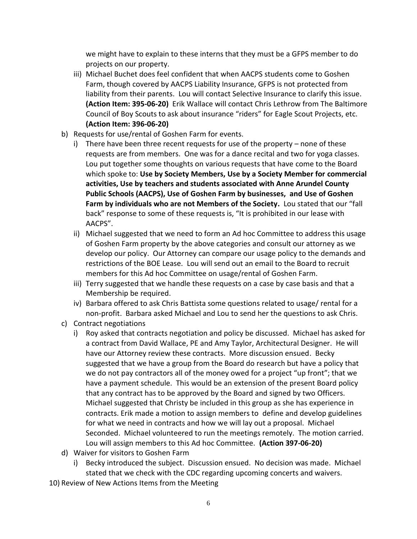we might have to explain to these interns that they must be a GFPS member to do projects on our property.

- iii) Michael Buchet does feel confident that when AACPS students come to Goshen Farm, though covered by AACPS Liability Insurance, GFPS is not protected from liability from their parents. Lou will contact Selective Insurance to clarify this issue. **(Action Item: 395-06-20)** Erik Wallace will contact Chris Lethrow from The Baltimore Council of Boy Scouts to ask about insurance "riders" for Eagle Scout Projects, etc. **(Action Item: 396-06-20)**
- b) Requests for use/rental of Goshen Farm for events.
	- i) There have been three recent requests for use of the property none of these requests are from members. One was for a dance recital and two for yoga classes. Lou put together some thoughts on various requests that have come to the Board which spoke to: **Use by Society Members, Use by a Society Member for commercial activities, Use by teachers and students associated with Anne Arundel County Public Schools (AACPS), Use of Goshen Farm by businesses, and Use of Goshen Farm by individuals who are not Members of the Society.** Lou stated that our "fall back" response to some of these requests is, "It is prohibited in our lease with AACPS".
	- ii) Michael suggested that we need to form an Ad hoc Committee to address this usage of Goshen Farm property by the above categories and consult our attorney as we develop our policy. Our Attorney can compare our usage policy to the demands and restrictions of the BOE Lease. Lou will send out an email to the Board to recruit members for this Ad hoc Committee on usage/rental of Goshen Farm.
	- iii) Terry suggested that we handle these requests on a case by case basis and that a Membership be required.
	- iv) Barbara offered to ask Chris Battista some questions related to usage/ rental for a non-profit. Barbara asked Michael and Lou to send her the questions to ask Chris.
- c) Contract negotiations
	- i) Roy asked that contracts negotiation and policy be discussed. Michael has asked for a contract from David Wallace, PE and Amy Taylor, Architectural Designer. He will have our Attorney review these contracts. More discussion ensued. Becky suggested that we have a group from the Board do research but have a policy that we do not pay contractors all of the money owed for a project "up front"; that we have a payment schedule. This would be an extension of the present Board policy that any contract has to be approved by the Board and signed by two Officers. Michael suggested that Christy be included in this group as she has experience in contracts. Erik made a motion to assign members to define and develop guidelines for what we need in contracts and how we will lay out a proposal. Michael Seconded. Michael volunteered to run the meetings remotely. The motion carried. Lou will assign members to this Ad hoc Committee. **(Action 397-06-20)**
- d) Waiver for visitors to Goshen Farm
	- i) Becky introduced the subject. Discussion ensued. No decision was made. Michael stated that we check with the CDC regarding upcoming concerts and waivers.
- 10) Review of New Actions Items from the Meeting